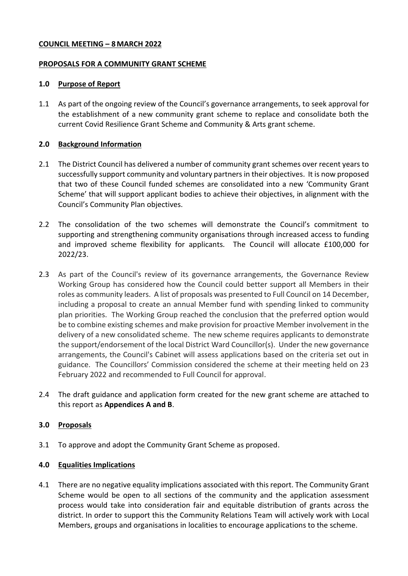### **COUNCIL MEETING – 8MARCH 2022**

#### **PROPOSALS FOR A COMMUNITY GRANT SCHEME**

#### **1.0 Purpose of Report**

1.1 As part of the ongoing review of the Council's governance arrangements, to seek approval for the establishment of a new community grant scheme to replace and consolidate both the current Covid Resilience Grant Scheme and Community & Arts grant scheme.

### **2.0 Background Information**

- 2.1 The District Council has delivered a number of community grant schemes over recent years to successfully support community and voluntary partners in their objectives. It is now proposed that two of these Council funded schemes are consolidated into a new 'Community Grant Scheme' that will support applicant bodies to achieve their objectives, in alignment with the Council's Community Plan objectives.
- 2.2 The consolidation of the two schemes will demonstrate the Council's commitment to supporting and strengthening community organisations through increased access to funding and improved scheme flexibility for applicants. The Council will allocate £100,000 for 2022/23.
- 2.3 As part of the Council's review of its governance arrangements, the Governance Review Working Group has considered how the Council could better support all Members in their roles as community leaders. A list of proposals was presented to Full Council on 14 December, including a proposal to create an annual Member fund with spending linked to community plan priorities. The Working Group reached the conclusion that the preferred option would be to combine existing schemes and make provision for proactive Member involvement in the delivery of a new consolidated scheme. The new scheme requires applicants to demonstrate the support/endorsement of the local District Ward Councillor(s). Under the new governance arrangements, the Council's Cabinet will assess applications based on the criteria set out in guidance. The Councillors' Commission considered the scheme at their meeting held on 23 February 2022 and recommended to Full Council for approval.
- 2.4 The draft guidance and application form created for the new grant scheme are attached to this report as **Appendices A and B**.

### **3.0 Proposals**

3.1 To approve and adopt the Community Grant Scheme as proposed.

### **4.0 Equalities Implications**

4.1 There are no negative equality implications associated with this report. The Community Grant Scheme would be open to all sections of the community and the application assessment process would take into consideration fair and equitable distribution of grants across the district. In order to support this the Community Relations Team will actively work with Local Members, groups and organisations in localities to encourage applications to the scheme.